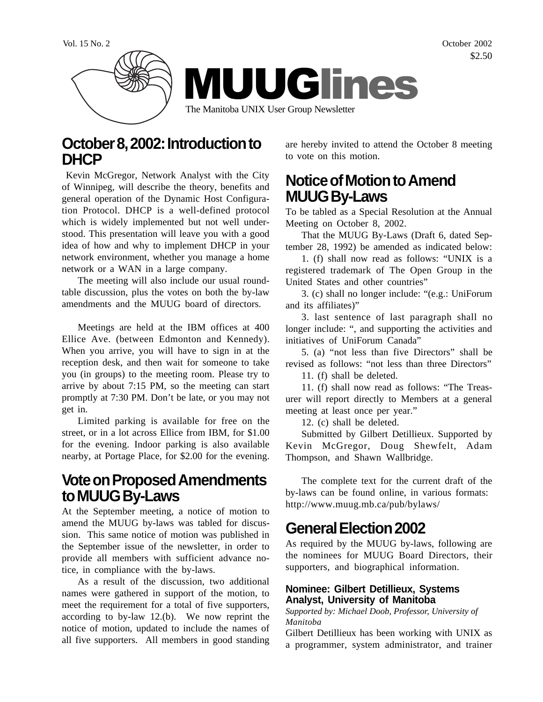Vol. 15 No. 2 October 2002 \$2.50



### **October 8, 2002: Introduction to DHCP**

 Kevin McGregor, Network Analyst with the City of Winnipeg, will describe the theory, benefits and general operation of the Dynamic Host Configuration Protocol. DHCP is a well-defined protocol which is widely implemented but not well understood. This presentation will leave you with a good idea of how and why to implement DHCP in your network environment, whether you manage a home network or a WAN in a large company.

The meeting will also include our usual roundtable discussion, plus the votes on both the by-law amendments and the MUUG board of directors.

Meetings are held at the IBM offices at 400 Ellice Ave. (between Edmonton and Kennedy). When you arrive, you will have to sign in at the reception desk, and then wait for someone to take you (in groups) to the meeting room. Please try to arrive by about 7:15 PM, so the meeting can start promptly at 7:30 PM. Don't be late, or you may not get in.

Limited parking is available for free on the street, or in a lot across Ellice from IBM, for \$1.00 for the evening. Indoor parking is also available nearby, at Portage Place, for \$2.00 for the evening.

### **Vote on Proposed Amendments to MUUG By-Laws**

At the September meeting, a notice of motion to amend the MUUG by-laws was tabled for discussion. This same notice of motion was published in the September issue of the newsletter, in order to provide all members with sufficient advance notice, in compliance with the by-laws.

As a result of the discussion, two additional names were gathered in support of the motion, to meet the requirement for a total of five supporters, according to by-law 12.(b). We now reprint the notice of motion, updated to include the names of all five supporters. All members in good standing

are hereby invited to attend the October 8 meeting to vote on this motion.

### **Notice of Motion to Amend MUUG By-Laws**

To be tabled as a Special Resolution at the Annual Meeting on October 8, 2002.

That the MUUG By-Laws (Draft 6, dated September 28, 1992) be amended as indicated below:

1. (f) shall now read as follows: "UNIX is a registered trademark of The Open Group in the United States and other countries"

3. (c) shall no longer include: "(e.g.: UniForum and its affiliates)"

3. last sentence of last paragraph shall no longer include: ", and supporting the activities and initiatives of UniForum Canada"

5. (a) "not less than five Directors" shall be revised as follows: "not less than three Directors"

11. (f) shall be deleted.

11. (f) shall now read as follows: "The Treasurer will report directly to Members at a general meeting at least once per year."

12. (c) shall be deleted.

Submitted by Gilbert Detillieux. Supported by Kevin McGregor, Doug Shewfelt, Adam Thompson, and Shawn Wallbridge.

The complete text for the current draft of the by-laws can be found online, in various formats: http://www.muug.mb.ca/pub/bylaws/

## **General Election 2002**

As required by the MUUG by-laws, following are the nominees for MUUG Board Directors, their supporters, and biographical information.

#### **Nominee: Gilbert Detillieux, Systems Analyst, University of Manitoba**

*Supported by: Michael Doob, Professor, University of Manitoba*

Gilbert Detillieux has been working with UNIX as a programmer, system administrator, and trainer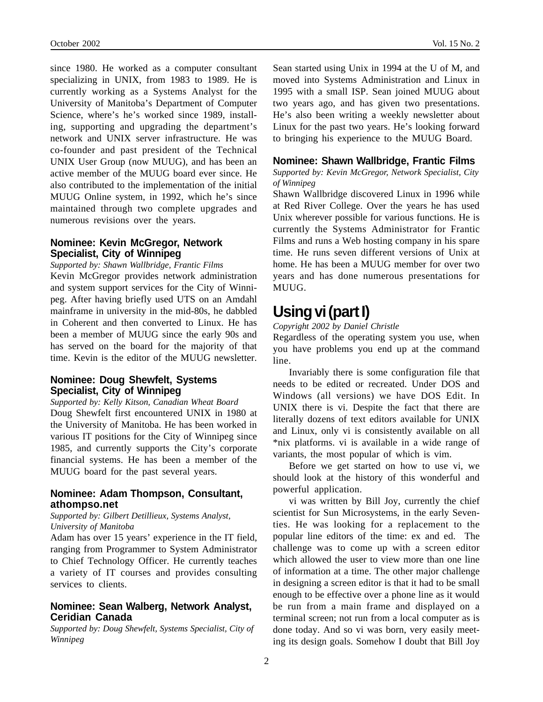since 1980. He worked as a computer consultant specializing in UNIX, from 1983 to 1989. He is currently working as a Systems Analyst for the University of Manitoba's Department of Computer Science, where's he's worked since 1989, installing, supporting and upgrading the department's network and UNIX server infrastructure. He was co-founder and past president of the Technical UNIX User Group (now MUUG), and has been an

active member of the MUUG board ever since. He also contributed to the implementation of the initial MUUG Online system, in 1992, which he's since maintained through two complete upgrades and numerous revisions over the years.

#### **Nominee: Kevin McGregor, Network Specialist, City of Winnipeg**

*Supported by: Shawn Wallbridge, Frantic Films*

Kevin McGregor provides network administration and system support services for the City of Winnipeg. After having briefly used UTS on an Amdahl mainframe in university in the mid-80s, he dabbled in Coherent and then converted to Linux. He has been a member of MUUG since the early 90s and has served on the board for the majority of that time. Kevin is the editor of the MUUG newsletter.

#### **Nominee: Doug Shewfelt, Systems Specialist, City of Winnipeg**

*Supported by: Kelly Kitson, Canadian Wheat Board* Doug Shewfelt first encountered UNIX in 1980 at the University of Manitoba. He has been worked in various IT positions for the City of Winnipeg since 1985, and currently supports the City's corporate financial systems. He has been a member of the MUUG board for the past several years.

#### **Nominee: Adam Thompson, Consultant, athompso.net**

*Supported by: Gilbert Detillieux, Systems Analyst, University of Manitoba*

Adam has over 15 years' experience in the IT field, ranging from Programmer to System Administrator to Chief Technology Officer. He currently teaches a variety of IT courses and provides consulting services to clients.

#### **Nominee: Sean Walberg, Network Analyst, Ceridian Canada**

*Supported by: Doug Shewfelt, Systems Specialist, City of Winnipeg*

Sean started using Unix in 1994 at the U of M, and moved into Systems Administration and Linux in 1995 with a small ISP. Sean joined MUUG about two years ago, and has given two presentations. He's also been writing a weekly newsletter about Linux for the past two years. He's looking forward to bringing his experience to the MUUG Board.

#### **Nominee: Shawn Wallbridge, Frantic Films**

*Supported by: Kevin McGregor, Network Specialist, City of Winnipeg*

Shawn Wallbridge discovered Linux in 1996 while at Red River College. Over the years he has used Unix wherever possible for various functions. He is currently the Systems Administrator for Frantic Films and runs a Web hosting company in his spare time. He runs seven different versions of Unix at home. He has been a MUUG member for over two years and has done numerous presentations for MUUG.

# **Using vi (part I)**

*Copyright 2002 by Daniel Christle*

Regardless of the operating system you use, when you have problems you end up at the command line.

Invariably there is some configuration file that needs to be edited or recreated. Under DOS and Windows (all versions) we have DOS Edit. In UNIX there is vi. Despite the fact that there are literally dozens of text editors available for UNIX and Linux, only vi is consistently available on all \*nix platforms. vi is available in a wide range of variants, the most popular of which is vim.

Before we get started on how to use vi, we should look at the history of this wonderful and powerful application.

vi was written by Bill Joy, currently the chief scientist for Sun Microsystems, in the early Seventies. He was looking for a replacement to the popular line editors of the time: ex and ed. The challenge was to come up with a screen editor which allowed the user to view more than one line of information at a time. The other major challenge in designing a screen editor is that it had to be small enough to be effective over a phone line as it would be run from a main frame and displayed on a terminal screen; not run from a local computer as is done today. And so vi was born, very easily meeting its design goals. Somehow I doubt that Bill Joy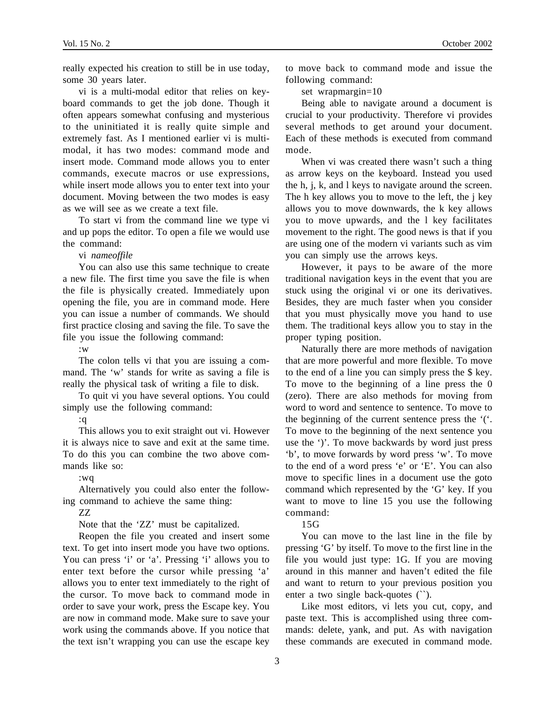really expected his creation to still be in use today, some 30 years later.

vi is a multi-modal editor that relies on keyboard commands to get the job done. Though it often appears somewhat confusing and mysterious to the uninitiated it is really quite simple and extremely fast. As I mentioned earlier vi is multimodal, it has two modes: command mode and insert mode. Command mode allows you to enter commands, execute macros or use expressions, while insert mode allows you to enter text into your document. Moving between the two modes is easy as we will see as we create a text file.

To start vi from the command line we type vi and up pops the editor. To open a file we would use the command:

vi *nameoffile*

You can also use this same technique to create a new file. The first time you save the file is when the file is physically created. Immediately upon opening the file, you are in command mode. Here you can issue a number of commands. We should first practice closing and saving the file. To save the file you issue the following command:

:w

The colon tells vi that you are issuing a command. The 'w' stands for write as saving a file is really the physical task of writing a file to disk.

To quit vi you have several options. You could simply use the following command:

:q

This allows you to exit straight out vi. However it is always nice to save and exit at the same time. To do this you can combine the two above commands like so:

:wq

Alternatively you could also enter the following command to achieve the same thing:

#### ZZ

Note that the 'ZZ' must be capitalized.

Reopen the file you created and insert some text. To get into insert mode you have two options. You can press 'i' or 'a'. Pressing 'i' allows you to enter text before the cursor while pressing 'a' allows you to enter text immediately to the right of the cursor. To move back to command mode in order to save your work, press the Escape key. You are now in command mode. Make sure to save your work using the commands above. If you notice that the text isn't wrapping you can use the escape key

to move back to command mode and issue the following command:

set wrapmargin=10

Being able to navigate around a document is crucial to your productivity. Therefore vi provides several methods to get around your document. Each of these methods is executed from command mode.

When vi was created there wasn't such a thing as arrow keys on the keyboard. Instead you used the h, j, k, and l keys to navigate around the screen. The h key allows you to move to the left, the j key allows you to move downwards, the k key allows you to move upwards, and the l key facilitates movement to the right. The good news is that if you are using one of the modern vi variants such as vim you can simply use the arrows keys.

However, it pays to be aware of the more traditional navigation keys in the event that you are stuck using the original vi or one its derivatives. Besides, they are much faster when you consider that you must physically move you hand to use them. The traditional keys allow you to stay in the proper typing position.

Naturally there are more methods of navigation that are more powerful and more flexible. To move to the end of a line you can simply press the \$ key. To move to the beginning of a line press the 0 (zero). There are also methods for moving from word to word and sentence to sentence. To move to the beginning of the current sentence press the '('. To move to the beginning of the next sentence you use the ')'. To move backwards by word just press 'b', to move forwards by word press 'w'. To move to the end of a word press 'e' or 'E'. You can also move to specific lines in a document use the goto command which represented by the 'G' key. If you want to move to line 15 you use the following command:

15G

You can move to the last line in the file by pressing 'G' by itself. To move to the first line in the file you would just type: 1G. If you are moving around in this manner and haven't edited the file and want to return to your previous position you enter a two single back-quotes (``).

Like most editors, vi lets you cut, copy, and paste text. This is accomplished using three commands: delete, yank, and put. As with navigation these commands are executed in command mode.